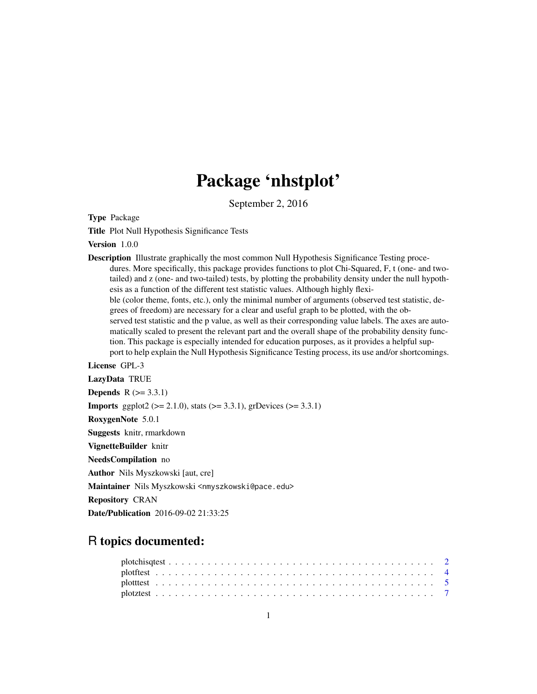# Package 'nhstplot'

September 2, 2016

Type Package

Title Plot Null Hypothesis Significance Tests

Version 1.0.0

Description Illustrate graphically the most common Null Hypothesis Significance Testing procedures. More specifically, this package provides functions to plot Chi-Squared, F, t (one- and twotailed) and z (one- and two-tailed) tests, by plotting the probability density under the null hypothesis as a function of the different test statistic values. Although highly flexible (color theme, fonts, etc.), only the minimal number of arguments (observed test statistic, degrees of freedom) are necessary for a clear and useful graph to be plotted, with the observed test statistic and the p value, as well as their corresponding value labels. The axes are automatically scaled to present the relevant part and the overall shape of the probability density function. This package is especially intended for education purposes, as it provides a helpful support to help explain the Null Hypothesis Significance Testing process, its use and/or shortcomings.

# License GPL-3

LazyData TRUE **Depends**  $R$  ( $>= 3.3.1$ ) **Imports** ggplot2 ( $>= 2.1.0$ ), stats ( $>= 3.3.1$ ), grDevices ( $>= 3.3.1$ ) RoxygenNote 5.0.1 Suggests knitr, rmarkdown VignetteBuilder knitr NeedsCompilation no Author Nils Myszkowski [aut, cre] Maintainer Nils Myszkowski <nmyszkowski@pace.edu> Repository CRAN

Date/Publication 2016-09-02 21:33:25

# R topics documented: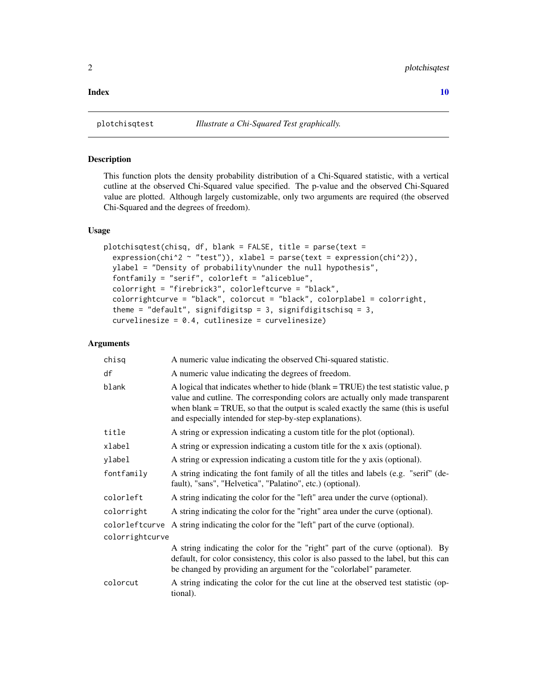#### <span id="page-1-0"></span> $\blacksquare$

# **Description**

This function plots the density probability distribution of a Chi-Squared statistic, with a vertical cutline at the observed Chi-Squared value specified. The p-value and the observed Chi-Squared value are plotted. Although largely customizable, only two arguments are required (the observed Chi-Squared and the degrees of freedom).

# Usage

```
plotchisqtest(chisq, df, blank = FALSE, title = parse(text =
  expression(chi^2 ~ "test")), xlabel = parse(text = expression(chi^2)),
  ylabel = "Density of probability\nunder the null hypothesis",
  fontfamily = "serif", colorleft = "aliceblue",
  colorright = "firebrick3", colorleftcurve = "black",
  colorrightcurve = "black", colorcut = "black", colorplabel = colorright,
  theme = "default", signifdigitsp = 3, signifdigitschisq = 3,
  curvelinesize = 0.4, cutlinesize = curvelinesize)
```

| chisq           | A numeric value indicating the observed Chi-squared statistic.                                                                                                                                                                                                                                                         |
|-----------------|------------------------------------------------------------------------------------------------------------------------------------------------------------------------------------------------------------------------------------------------------------------------------------------------------------------------|
| df              | A numeric value indicating the degrees of freedom.                                                                                                                                                                                                                                                                     |
| blank           | A logical that indicates whether to hide (blank = TRUE) the test statistic value, p<br>value and cutline. The corresponding colors are actually only made transparent<br>when blank $=$ TRUE, so that the output is scaled exactly the same (this is useful<br>and especially intended for step-by-step explanations). |
| title           | A string or expression indicating a custom title for the plot (optional).                                                                                                                                                                                                                                              |
| xlabel          | A string or expression indicating a custom title for the x axis (optional).                                                                                                                                                                                                                                            |
| ylabel          | A string or expression indicating a custom title for the y axis (optional).                                                                                                                                                                                                                                            |
| fontfamily      | A string indicating the font family of all the titles and labels (e.g. "serif" (de-<br>fault), "sans", "Helvetica", "Palatino", etc.) (optional).                                                                                                                                                                      |
| colorleft       | A string indicating the color for the "left" area under the curve (optional).                                                                                                                                                                                                                                          |
| colorright      | A string indicating the color for the "right" area under the curve (optional).                                                                                                                                                                                                                                         |
|                 | colorleft curve A string indicating the color for the "left" part of the curve (optional).                                                                                                                                                                                                                             |
| colorrightcurve |                                                                                                                                                                                                                                                                                                                        |
|                 | A string indicating the color for the "right" part of the curve (optional). By<br>default, for color consistency, this color is also passed to the label, but this can<br>be changed by providing an argument for the "colorlabel" parameter.                                                                          |
| colorcut        | A string indicating the color for the cut line at the observed test statistic (op-<br>tional).                                                                                                                                                                                                                         |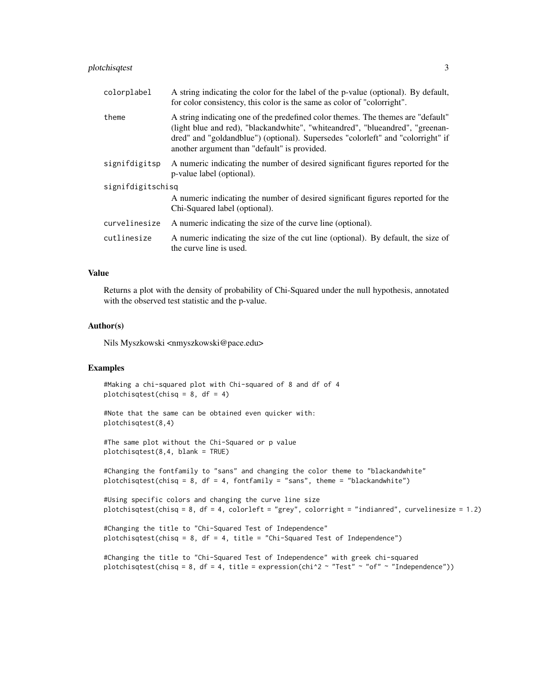# plotchisqtest 3

| colorplabel       | A string indicating the color for the label of the p-value (optional). By default,<br>for color consistency, this color is the same as color of "colorright".                                                                                                                                        |  |  |  |  |
|-------------------|------------------------------------------------------------------------------------------------------------------------------------------------------------------------------------------------------------------------------------------------------------------------------------------------------|--|--|--|--|
| theme             | A string indicating one of the predefined color themes. The themes are "default"<br>(light blue and red), "blackandwhite", "whiteandred", "blueandred", "greenan-<br>dred" and "goldandblue") (optional). Supersedes "colorleft" and "colorright" if<br>another argument than "default" is provided. |  |  |  |  |
| signifdigitsp     | A numeric indicating the number of desired significant figures reported for the<br>p-value label (optional).                                                                                                                                                                                         |  |  |  |  |
| signifdigitschisq |                                                                                                                                                                                                                                                                                                      |  |  |  |  |
|                   | A numeric indicating the number of desired significant figures reported for the<br>Chi-Squared label (optional).                                                                                                                                                                                     |  |  |  |  |
| curvelinesize     | A numeric indicating the size of the curve line (optional).                                                                                                                                                                                                                                          |  |  |  |  |
| cutlinesize       | A numeric indicating the size of the cut line (optional). By default, the size of<br>the curve line is used.                                                                                                                                                                                         |  |  |  |  |

#### Value

Returns a plot with the density of probability of Chi-Squared under the null hypothesis, annotated with the observed test statistic and the p-value.

#### Author(s)

Nils Myszkowski <nmyszkowski@pace.edu>

#### Examples

#Making a chi-squared plot with Chi-squared of 8 and df of 4 plotchisqtest(chisq = 8, df = 4)

#Note that the same can be obtained even quicker with: plotchisqtest(8,4)

#The same plot without the Chi-Squared or p value plotchisqtest(8,4, blank = TRUE)

#Changing the fontfamily to "sans" and changing the color theme to "blackandwhite" plotchisqtest(chisq = 8, df = 4, fontfamily = "sans", theme = "blackandwhite")

```
#Using specific colors and changing the curve line size
plotchisqtest(chisq = 8, df = 4, colorleft = "grey", colorright = "indianred", curvelinesize = 1.2)
```

```
#Changing the title to "Chi-Squared Test of Independence"
plotchisqtest(chisq = 8, df = 4, title = "Chi-Squared Test of Independence")
```

```
#Changing the title to "Chi-Squared Test of Independence" with greek chi-squared
plotchisqtest(chisq = 8, df = 4, title = expression(chi^2 ~ "Test" ~ "of" ~ "Independence"))
```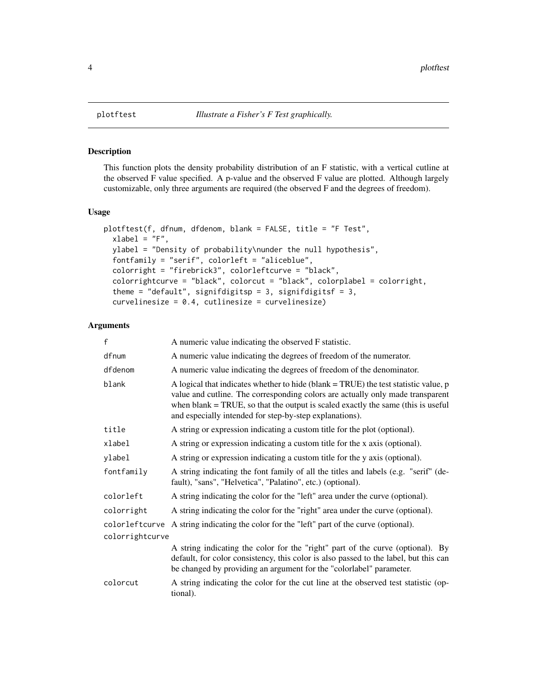#### Description

This function plots the density probability distribution of an F statistic, with a vertical cutline at the observed F value specified. A p-value and the observed F value are plotted. Although largely customizable, only three arguments are required (the observed F and the degrees of freedom).

#### Usage

```
plotftest(f, dfnum, dfdenom, blank = FALSE, title = "F Test",
  xlabel = "F",ylabel = "Density of probability\nunder the null hypothesis",
  fontfamily = "serif", colorleft = "aliceblue",
  colorright = "firebrick3", colorleftcurve = "black",
  colorrightcurve = "black", colorcut = "black", colorplabel = colorright,
  theme = "default", signifdigitsp = 3, signifdigitsf = 3,
  curvelinesize = 0.4, cutlinesize = curvelinesize)
```

| f               | A numeric value indicating the observed F statistic.                                                                                                                                                                                                                                                                        |
|-----------------|-----------------------------------------------------------------------------------------------------------------------------------------------------------------------------------------------------------------------------------------------------------------------------------------------------------------------------|
| dfnum           | A numeric value indicating the degrees of freedom of the numerator.                                                                                                                                                                                                                                                         |
| dfdenom         | A numeric value indicating the degrees of freedom of the denominator.                                                                                                                                                                                                                                                       |
| blank           | A logical that indicates whether to hide (blank $=$ TRUE) the test statistic value, $p$<br>value and cutline. The corresponding colors are actually only made transparent<br>when blank $= TRUE$ , so that the output is scaled exactly the same (this is useful<br>and especially intended for step-by-step explanations). |
| title           | A string or expression indicating a custom title for the plot (optional).                                                                                                                                                                                                                                                   |
| xlabel          | A string or expression indicating a custom title for the x axis (optional).                                                                                                                                                                                                                                                 |
| ylabel          | A string or expression indicating a custom title for the y axis (optional).                                                                                                                                                                                                                                                 |
| fontfamily      | A string indicating the font family of all the titles and labels (e.g. "serif" (de-<br>fault), "sans", "Helvetica", "Palatino", etc.) (optional).                                                                                                                                                                           |
| colorleft       | A string indicating the color for the "left" area under the curve (optional).                                                                                                                                                                                                                                               |
| colorright      | A string indicating the color for the "right" area under the curve (optional).                                                                                                                                                                                                                                              |
| colorleftcurve  | A string indicating the color for the "left" part of the curve (optional).                                                                                                                                                                                                                                                  |
| colorrightcurve |                                                                                                                                                                                                                                                                                                                             |
|                 | A string indicating the color for the "right" part of the curve (optional). By<br>default, for color consistency, this color is also passed to the label, but this can<br>be changed by providing an argument for the "colorlabel" parameter.                                                                               |
| colorcut        | A string indicating the color for the cut line at the observed test statistic (op-<br>tional).                                                                                                                                                                                                                              |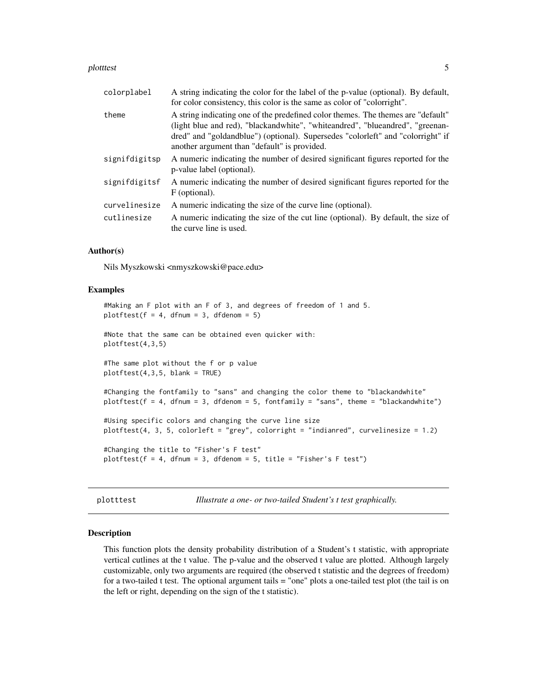#### <span id="page-4-0"></span>plotttest 5

| colorplabel   | A string indicating the color for the label of the p-value (optional). By default,<br>for color consistency, this color is the same as color of "colorright".                                                                                                                                        |
|---------------|------------------------------------------------------------------------------------------------------------------------------------------------------------------------------------------------------------------------------------------------------------------------------------------------------|
| theme         | A string indicating one of the predefined color themes. The themes are "default"<br>(light blue and red), "blackandwhite", "whiteandred", "blueandred", "greenan-<br>dred" and "goldandblue") (optional). Supersedes "colorleft" and "colorright" if<br>another argument than "default" is provided. |
| signifdigitsp | A numeric indicating the number of desired significant figures reported for the<br>p-value label (optional).                                                                                                                                                                                         |
| signifdigitsf | A numeric indicating the number of desired significant figures reported for the<br>F (optional).                                                                                                                                                                                                     |
| curvelinesize | A numeric indicating the size of the curve line (optional).                                                                                                                                                                                                                                          |
| cutlinesize   | A numeric indicating the size of the cut line (optional). By default, the size of<br>the curve line is used.                                                                                                                                                                                         |

# Author(s)

Nils Myszkowski <nmyszkowski@pace.edu>

#### Examples

```
#Making an F plot with an F of 3, and degrees of freedom of 1 and 5.
plotftest(f = 4, dfnum = 3, dfdenom = 5)
#Note that the same can be obtained even quicker with:
plotftest(4,3,5)
#The same plot without the f or p value
plotftest(4,3,5, blank = TRUE)#Changing the fontfamily to "sans" and changing the color theme to "blackandwhite"
plotftest(f = 4, dfnum = 3, dfdenom = 5, fontfamily = "sans", theme = "blackandwhite")#Using specific colors and changing the curve line size
plotftest(4, 3, 5, colorleft = "grey", colorright = "indianred", curvelinesize = 1.2)
#Changing the title to "Fisher's F test"
plotftest(f = 4, dfnum = 3, dfdenom = 5, title = "Fisher's F test")
```
plotttest *Illustrate a one- or two-tailed Student's t test graphically.*

#### Description

This function plots the density probability distribution of a Student's t statistic, with appropriate vertical cutlines at the t value. The p-value and the observed t value are plotted. Although largely customizable, only two arguments are required (the observed t statistic and the degrees of freedom) for a two-tailed t test. The optional argument tails = "one" plots a one-tailed test plot (the tail is on the left or right, depending on the sign of the t statistic).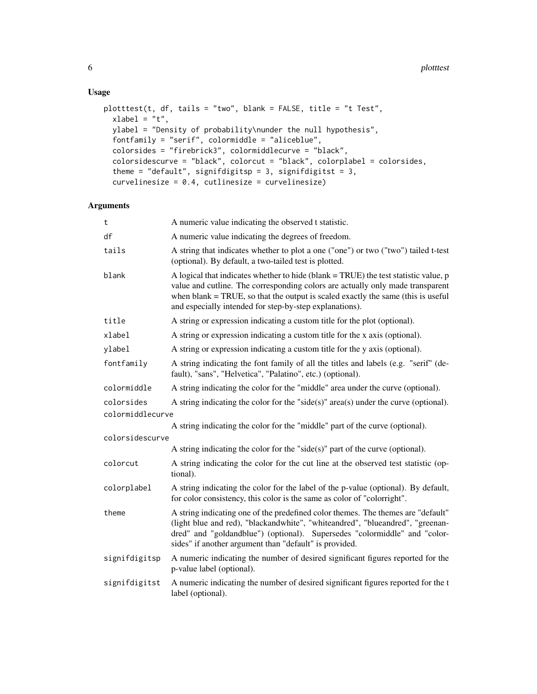# Usage

```
plotttest(t, df, tails = "two", blank = FALSE, title = "t Test",
 xlabel = "t",ylabel = "Density of probability\nunder the null hypothesis",
 fontfamily = "serif", colormiddle = "aliceblue",
  colorsides = "firebrick3", colormiddlecurve = "black",
  colorsidescurve = "black", colorcut = "black", colorplabel = colorsides,
  theme = "default", signifdigitsp = 3, signifdigitst = 3,
  curvelinesize = 0.4, cutlinesize = curvelinesize)
```

| t                | A numeric value indicating the observed t statistic.                                                                                                                                                                                                                                                                    |
|------------------|-------------------------------------------------------------------------------------------------------------------------------------------------------------------------------------------------------------------------------------------------------------------------------------------------------------------------|
| df               | A numeric value indicating the degrees of freedom.                                                                                                                                                                                                                                                                      |
| tails            | A string that indicates whether to plot a one ("one") or two ("two") tailed t-test<br>(optional). By default, a two-tailed test is plotted.                                                                                                                                                                             |
| blank            | A logical that indicates whether to hide (blank = TRUE) the test statistic value, p<br>value and cutline. The corresponding colors are actually only made transparent<br>when blank $= TRUE$ , so that the output is scaled exactly the same (this is useful<br>and especially intended for step-by-step explanations). |
| title            | A string or expression indicating a custom title for the plot (optional).                                                                                                                                                                                                                                               |
| xlabel           | A string or expression indicating a custom title for the x axis (optional).                                                                                                                                                                                                                                             |
| ylabel           | A string or expression indicating a custom title for the y axis (optional).                                                                                                                                                                                                                                             |
| fontfamily       | A string indicating the font family of all the titles and labels (e.g. "serif" (de-<br>fault), "sans", "Helvetica", "Palatino", etc.) (optional).                                                                                                                                                                       |
| colormiddle      | A string indicating the color for the "middle" area under the curve (optional).                                                                                                                                                                                                                                         |
| colorsides       | A string indicating the color for the "side(s)" $area(s)$ under the curve (optional).                                                                                                                                                                                                                                   |
| colormiddlecurve |                                                                                                                                                                                                                                                                                                                         |
|                  | A string indicating the color for the "middle" part of the curve (optional).                                                                                                                                                                                                                                            |
| colorsidescurve  |                                                                                                                                                                                                                                                                                                                         |
|                  | A string indicating the color for the "side $(s)$ " part of the curve (optional).                                                                                                                                                                                                                                       |
| colorcut         | A string indicating the color for the cut line at the observed test statistic (op-<br>tional).                                                                                                                                                                                                                          |
| colorplabel      | A string indicating the color for the label of the p-value (optional). By default,<br>for color consistency, this color is the same as color of "colorright".                                                                                                                                                           |
| theme            | A string indicating one of the predefined color themes. The themes are "default"<br>(light blue and red), "blackandwhite", "whiteandred", "blueandred", "greenan-<br>dred" and "goldandblue") (optional). Supersedes "colormiddle" and "color-<br>sides" if another argument than "default" is provided.                |
| signifdigitsp    | A numeric indicating the number of desired significant figures reported for the<br>p-value label (optional).                                                                                                                                                                                                            |
| signifdigitst    | A numeric indicating the number of desired significant figures reported for the t<br>label (optional).                                                                                                                                                                                                                  |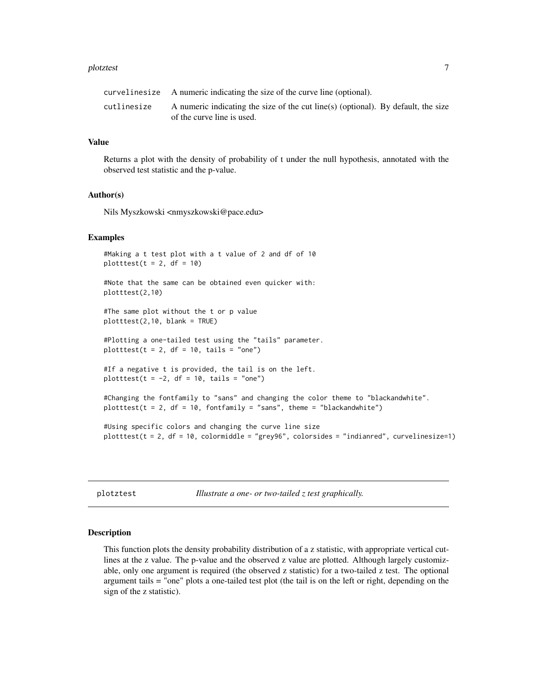#### <span id="page-6-0"></span>plotztest 7

|             | curvelinesize A numeric indicating the size of the curve line (optional).                                       |
|-------------|-----------------------------------------------------------------------------------------------------------------|
| cutlinesize | A numeric indicating the size of the cut line(s) (optional). By default, the size<br>of the curve line is used. |

#### Value

Returns a plot with the density of probability of t under the null hypothesis, annotated with the observed test statistic and the p-value.

#### Author(s)

Nils Myszkowski <nmyszkowski@pace.edu>

#### Examples

```
#Making a t test plot with a t value of 2 and df of 10
plotttest(t = 2, df = 10)
#Note that the same can be obtained even quicker with:
plotttest(2,10)
#The same plot without the t or p value
plotttest(2,10, blank = TRUE)
#Plotting a one-tailed test using the "tails" parameter.
plotttest(t = 2, df = 10, tails = "one")
#If a negative t is provided, the tail is on the left.
plotttest(t = -2, df = 10, tails = "one")
#Changing the fontfamily to "sans" and changing the color theme to "blackandwhite".
plotttest(t = 2, df = 10, fontfamily = "sans", theme = "blackandwhite")
#Using specific colors and changing the curve line size
plotttest(t = 2, df = 10, colormiddle = "grey96", colorsides = "indianred", curvelinesize=1)
```
plotztest *Illustrate a one- or two-tailed z test graphically.*

#### Description

This function plots the density probability distribution of a z statistic, with appropriate vertical cutlines at the z value. The p-value and the observed z value are plotted. Although largely customizable, only one argument is required (the observed z statistic) for a two-tailed z test. The optional argument tails = "one" plots a one-tailed test plot (the tail is on the left or right, depending on the sign of the z statistic).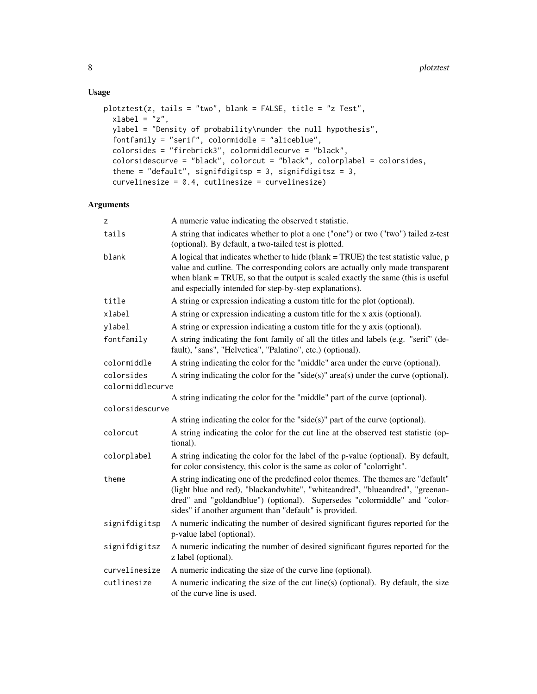# Usage

```
plotztest(z, tails = "two", blank = FALSE, title = "z Test",
 xlabel = "z",ylabel = "Density of probability\nunder the null hypothesis",
  fontfamily = "serif", colormiddle = "aliceblue",
  colorsides = "firebrick3", colormiddlecurve = "black",
  colorsidescurve = "black", colorcut = "black", colorplabel = colorsides,
  theme = "default", signifdigitsp = 3, signifdigitsz = 3,
  curvelinesize = 0.4, cutlinesize = curvelinesize)
```

| Z                              | A numeric value indicating the observed t statistic.                                                                                                                                                                                                                                                                    |
|--------------------------------|-------------------------------------------------------------------------------------------------------------------------------------------------------------------------------------------------------------------------------------------------------------------------------------------------------------------------|
| tails                          | A string that indicates whether to plot a one ("one") or two ("two") tailed z-test<br>(optional). By default, a two-tailed test is plotted.                                                                                                                                                                             |
| blank                          | A logical that indicates whether to hide (blank = TRUE) the test statistic value, p<br>value and cutline. The corresponding colors are actually only made transparent<br>when blank $= TRUE$ , so that the output is scaled exactly the same (this is useful<br>and especially intended for step-by-step explanations). |
| title                          | A string or expression indicating a custom title for the plot (optional).                                                                                                                                                                                                                                               |
| xlabel                         | A string or expression indicating a custom title for the x axis (optional).                                                                                                                                                                                                                                             |
| ylabel                         | A string or expression indicating a custom title for the y axis (optional).                                                                                                                                                                                                                                             |
| fontfamily                     | A string indicating the font family of all the titles and labels (e.g. "serif" (de-<br>fault), "sans", "Helvetica", "Palatino", etc.) (optional).                                                                                                                                                                       |
| colormiddle                    | A string indicating the color for the "middle" area under the curve (optional).                                                                                                                                                                                                                                         |
| colorsides<br>colormiddlecurve | A string indicating the color for the "side(s)" area(s) under the curve (optional).                                                                                                                                                                                                                                     |
|                                | A string indicating the color for the "middle" part of the curve (optional).                                                                                                                                                                                                                                            |
| colorsidescurve                |                                                                                                                                                                                                                                                                                                                         |
|                                | A string indicating the color for the "side $(s)$ " part of the curve (optional).                                                                                                                                                                                                                                       |
| colorcut                       | A string indicating the color for the cut line at the observed test statistic (op-<br>tional).                                                                                                                                                                                                                          |
| colorplabel                    | A string indicating the color for the label of the p-value (optional). By default,<br>for color consistency, this color is the same as color of "colorright".                                                                                                                                                           |
| theme                          | A string indicating one of the predefined color themes. The themes are "default"<br>(light blue and red), "blackandwhite", "whiteandred", "blueandred", "greenan-<br>dred" and "goldandblue") (optional). Supersedes "colormiddle" and "color-<br>sides" if another argument than "default" is provided.                |
| signifdigitsp                  | A numeric indicating the number of desired significant figures reported for the<br>p-value label (optional).                                                                                                                                                                                                            |
| signifdigitsz                  | A numeric indicating the number of desired significant figures reported for the<br>z label (optional).                                                                                                                                                                                                                  |
| curvelinesize                  | A numeric indicating the size of the curve line (optional).                                                                                                                                                                                                                                                             |
| cutlinesize                    | A numeric indicating the size of the cut line(s) (optional). By default, the size<br>of the curve line is used.                                                                                                                                                                                                         |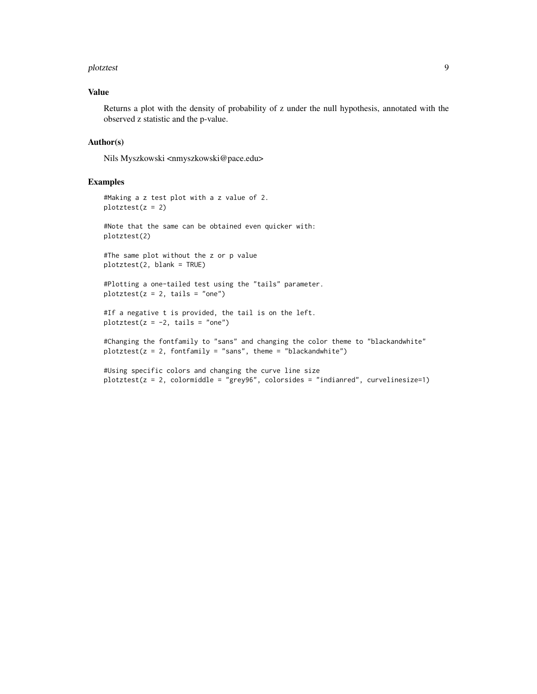#### plotztest 9

#### Value

Returns a plot with the density of probability of z under the null hypothesis, annotated with the observed z statistic and the p-value.

#### Author(s)

Nils Myszkowski <nmyszkowski@pace.edu>

#### Examples

#Making a z test plot with a z value of 2.  $plotztest(z = 2)$ #Note that the same can be obtained even quicker with: plotztest(2) #The same plot without the z or p value plotztest(2, blank = TRUE) #Plotting a one-tailed test using the "tails" parameter.  $plotztest(z = 2, tails = "one")$ #If a negative t is provided, the tail is on the left.  $plotztest(z = -2, tails = "one")$ 

#Changing the fontfamily to "sans" and changing the color theme to "blackandwhite"  $plotztest(z = 2, fontfamily = "sans", theme = "blackandwhite")$ 

#Using specific colors and changing the curve line size plotztest(z = 2, colormiddle = "grey96", colorsides = "indianred", curvelinesize=1)